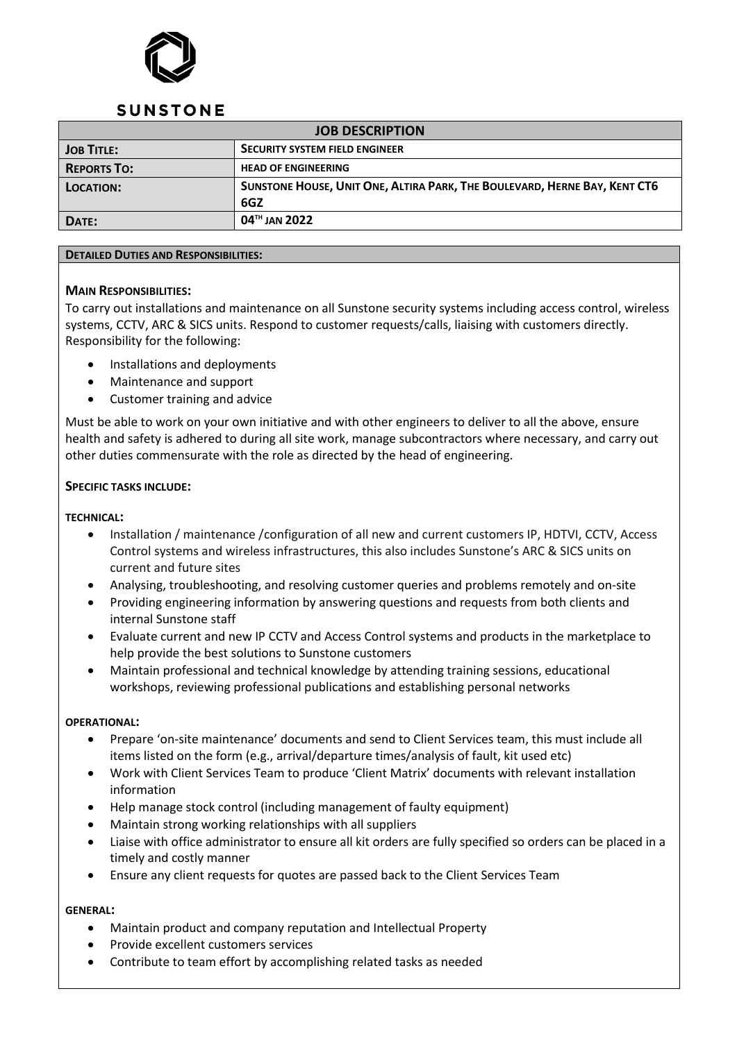

## **SUNSTONE**

| <b>JOB DESCRIPTION</b> |                                                                           |
|------------------------|---------------------------------------------------------------------------|
| <b>JOB TITLE:</b>      | <b>SECURITY SYSTEM FIELD ENGINEER</b>                                     |
| <b>REPORTS TO:</b>     | <b>HEAD OF ENGINEERING</b>                                                |
| <b>LOCATION:</b>       | SUNSTONE HOUSE, UNIT ONE, ALTIRA PARK, THE BOULEVARD, HERNE BAY, KENT CT6 |
|                        | 6GZ                                                                       |
| DATE:                  | $04$ <sup>TH</sup> JAN 2022                                               |

#### **DETAILED DUTIES AND RESPONSIBILITIES:**

## **MAIN RESPONSIBILITIES:**

To carry out installations and maintenance on all Sunstone security systems including access control, wireless systems, CCTV, ARC & SICS units. Respond to customer requests/calls, liaising with customers directly. Responsibility for the following:

- Installations and deployments
- Maintenance and support
- Customer training and advice

Must be able to work on your own initiative and with other engineers to deliver to all the above, ensure health and safety is adhered to during all site work, manage subcontractors where necessary, and carry out other duties commensurate with the role as directed by the head of engineering.

## **SPECIFIC TASKS INCLUDE:**

#### **TECHNICAL:**

- Installation / maintenance /configuration of all new and current customers IP, HDTVI, CCTV, Access Control systems and wireless infrastructures, this also includes Sunstone's ARC & SICS units on current and future sites
- Analysing, troubleshooting, and resolving customer queries and problems remotely and on-site
- Providing engineering information by answering questions and requests from both clients and internal Sunstone staff
- Evaluate current and new IP CCTV and Access Control systems and products in the marketplace to help provide the best solutions to Sunstone customers
- Maintain professional and technical knowledge by attending training sessions, educational workshops, reviewing professional publications and establishing personal networks

#### **OPERATIONAL:**

- Prepare 'on-site maintenance' documents and send to Client Services team, this must include all items listed on the form (e.g., arrival/departure times/analysis of fault, kit used etc)
- Work with Client Services Team to produce 'Client Matrix' documents with relevant installation information
- Help manage stock control (including management of faulty equipment)
- Maintain strong working relationships with all suppliers
- Liaise with office administrator to ensure all kit orders are fully specified so orders can be placed in a timely and costly manner
- Ensure any client requests for quotes are passed back to the Client Services Team

#### **GENERAL:**

- Maintain product and company reputation and Intellectual Property
- Provide excellent customers services
- Contribute to team effort by accomplishing related tasks as needed